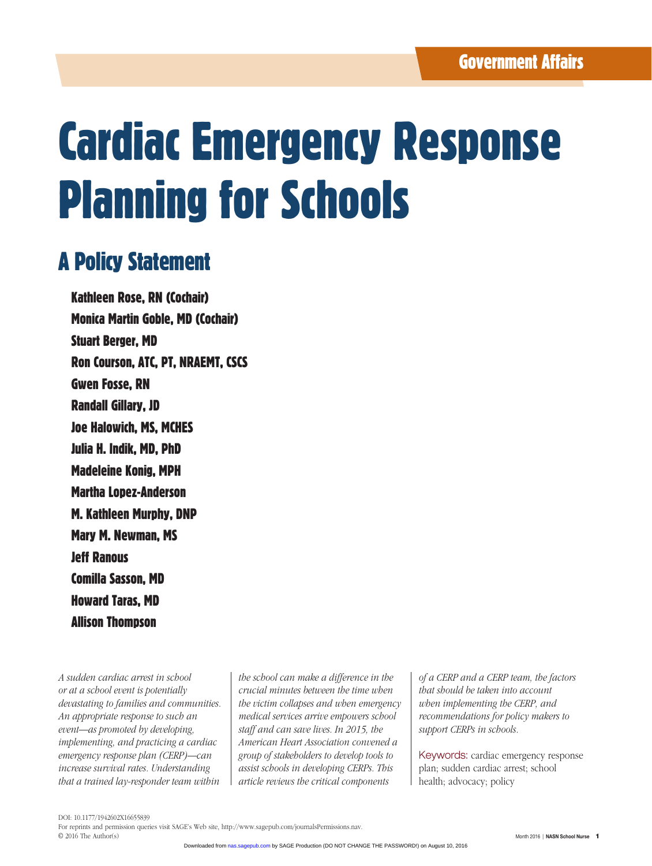# Cardiac Emergency Response Planning for Schools

# A Policy Statement

Kathleen Rose, RN (Cochair) Monica Martin Goble, MD (Cochair) Stuart Berger, MD Ron Courson, ATC, PT, NRAEMT, CSCS Gwen Fosse, RN Randall Gillary, JD Joe Halowich, MS, MCHES Julia H. Indik, MD, PhD Madeleine Konig, MPH Martha Lopez-Anderson M. Kathleen Murphy, DNP Mary M. Newman, MS Jeff Ranous Comilla Sasson, MD Howard Taras, MD Allison Thompson

*A sudden cardiac arrest in school or at a school event is potentially devastating to families and communities. An appropriate response to such an event—as promoted by developing, implementing, and practicing a cardiac emergency response plan (CERP)—can increase survival rates. Understanding that a trained lay-responder team within* 

*the school can make a difference in the crucial minutes between the time when the victim collapses and when emergency medical services arrive empowers school staff and can save lives. In 2015, the American Heart Association convened a group of stakeholders to develop tools to assist schools in developing CERPs. This article reviews the critical components* 

*of a CERP and a CERP team, the factors that should be taken into account when implementing the CERP, and recommendations for policy makers to support CERPs in schools.*

Keywords: cardiac emergency response plan; sudden cardiac arrest; school health; advocacy; policy

DOI: 10.1177/1942602X16655839

For reprints and permission queries visit SAGE's Web site, http://www.sagepub.com/journalsPermissions.nav.  $\degree$  2016 The Author(s) Month 2016 | NASN School Nurse 1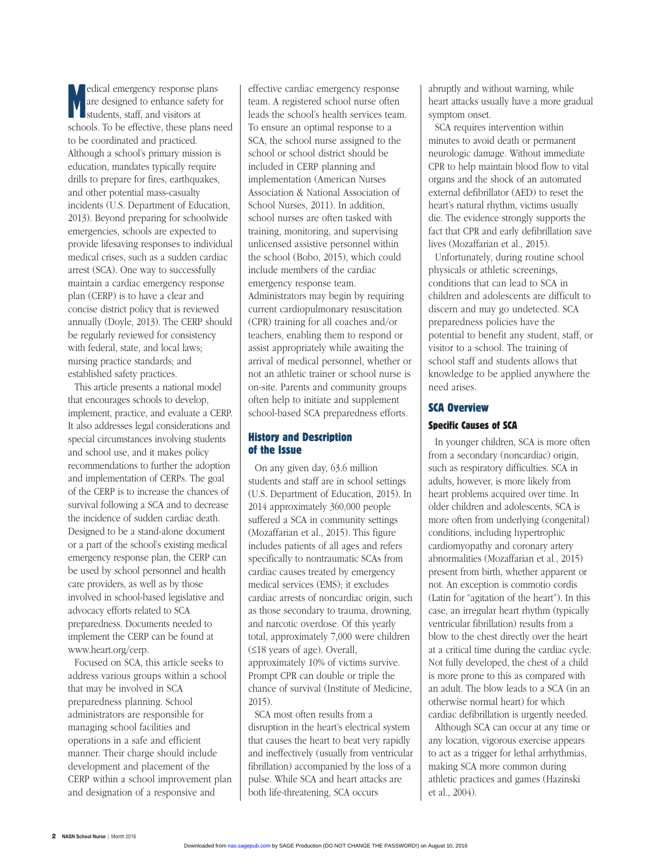dical emergency response plans<br>are designed to enhance safety for students, staff, and visitors at are designed to enhance safety for students, staff, and visitors at schools. To be effective, these plans need to be coordinated and practiced. Although a school's primary mission is education, mandates typically require drills to prepare for fires, earthquakes, and other potential mass-casualty incidents (U.S. Department of Education, 2013). Beyond preparing for schoolwide emergencies, schools are expected to provide lifesaving responses to individual medical crises, such as a sudden cardiac arrest (SCA). One way to successfully maintain a cardiac emergency response plan (CERP) is to have a clear and concise district policy that is reviewed annually (Doyle, 2013). The CERP should be regularly reviewed for consistency with federal, state, and local laws; nursing practice standards; and established safety practices.

This article presents a national model that encourages schools to develop, implement, practice, and evaluate a CERP. It also addresses legal considerations and special circumstances involving students and school use, and it makes policy recommendations to further the adoption and implementation of CERPs. The goal of the CERP is to increase the chances of survival following a SCA and to decrease the incidence of sudden cardiac death. Designed to be a stand-alone document or a part of the school's existing medical emergency response plan, the CERP can be used by school personnel and health care providers, as well as by those involved in school-based legislative and advocacy efforts related to SCA preparedness. Documents needed to implement the CERP can be found at [www.heart.org/cerp.](www.heart.org/cerp)

Focused on SCA, this article seeks to address various groups within a school that may be involved in SCA preparedness planning. School administrators are responsible for managing school facilities and operations in a safe and efficient manner. Their charge should include development and placement of the CERP within a school improvement plan and designation of a responsive and

effective cardiac emergency response team. A registered school nurse often leads the school's health services team. To ensure an optimal response to a SCA, the school nurse assigned to the school or school district should be included in CERP planning and implementation (American Nurses Association & National Association of School Nurses, 2011). In addition, school nurses are often tasked with training, monitoring, and supervising unlicensed assistive personnel within the school (Bobo, 2015), which could include members of the cardiac emergency response team. Administrators may begin by requiring current cardiopulmonary resuscitation (CPR) training for all coaches and/or teachers, enabling them to respond or assist appropriately while awaiting the arrival of medical personnel, whether or not an athletic trainer or school nurse is on-site. Parents and community groups often help to initiate and supplement school-based SCA preparedness efforts.

# History and Description of the Issue

On any given day, 63.6 million students and staff are in school settings (U.S. Department of Education, 2015). In 2014 approximately 360,000 people suffered a SCA in community settings (Mozaffarian et al., 2015). This figure includes patients of all ages and refers specifically to nontraumatic SCAs from cardiac causes treated by emergency medical services (EMS); it excludes cardiac arrests of noncardiac origin, such as those secondary to trauma, drowning, and narcotic overdose. Of this yearly total, approximately 7,000 were children (≤18 years of age). Overall, approximately 10% of victims survive. Prompt CPR can double or triple the chance of survival (Institute of Medicine, 2015).

SCA most often results from a disruption in the heart's electrical system that causes the heart to beat very rapidly and ineffectively (usually from ventricular fibrillation) accompanied by the loss of a pulse. While SCA and heart attacks are both life-threatening, SCA occurs

abruptly and without warning, while heart attacks usually have a more gradual symptom onset.

SCA requires intervention within minutes to avoid death or permanent neurologic damage. Without immediate CPR to help maintain blood flow to vital organs and the shock of an automated external defibrillator (AED) to reset the heart's natural rhythm, victims usually die. The evidence strongly supports the fact that CPR and early defibrillation save lives (Mozaffarian et al., 2015).

Unfortunately, during routine school physicals or athletic screenings, conditions that can lead to SCA in children and adolescents are difficult to discern and may go undetected. SCA preparedness policies have the potential to benefit any student, staff, or visitor to a school. The training of school staff and students allows that knowledge to be applied anywhere the need arises.

#### SCA Overview

# Specific Causes of SCA

In younger children, SCA is more often from a secondary (noncardiac) origin, such as respiratory difficulties. SCA in adults, however, is more likely from heart problems acquired over time. In older children and adolescents, SCA is more often from underlying (congenital) conditions, including hypertrophic cardiomyopathy and coronary artery abnormalities (Mozaffarian et al., 2015) present from birth, whether apparent or not. An exception is commotio cordis (Latin for "agitation of the heart"). In this case, an irregular heart rhythm (typically ventricular fibrillation) results from a blow to the chest directly over the heart at a critical time during the cardiac cycle. Not fully developed, the chest of a child is more prone to this as compared with an adult. The blow leads to a SCA (in an otherwise normal heart) for which cardiac defibrillation is urgently needed.

Although SCA can occur at any time or any location, vigorous exercise appears to act as a trigger for lethal arrhythmias, making SCA more common during athletic practices and games (Hazinski et al., 2004).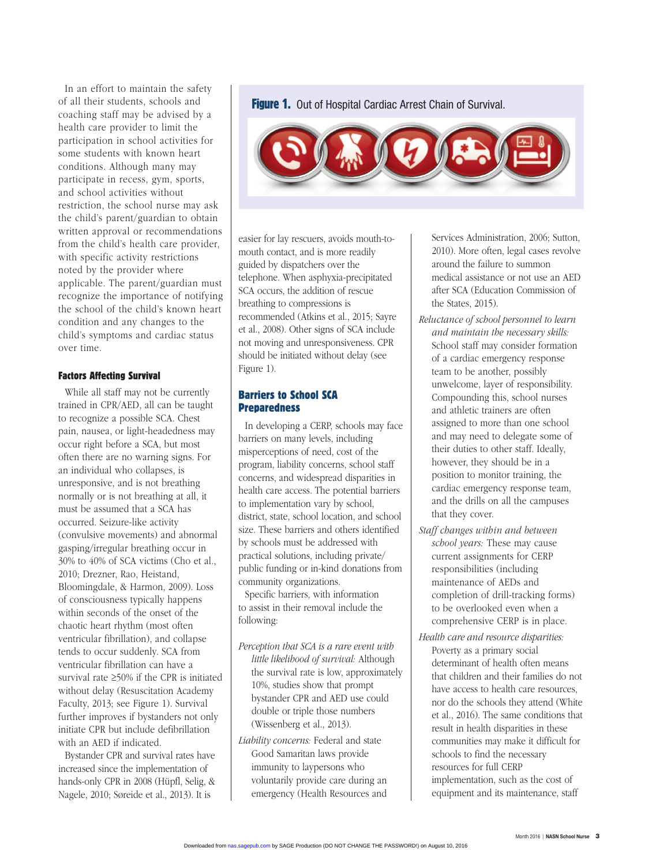In an effort to maintain the safety of all their students, schools and coaching staff may be advised by a health care provider to limit the participation in school activities for some students with known heart conditions. Although many may participate in recess, gym, sports, and school activities without restriction, the school nurse may ask the child's parent/guardian to obtain written approval or recommendations from the child's health care provider, with specific activity restrictions noted by the provider where applicable. The parent/guardian must recognize the importance of notifying the school of the child's known heart condition and any changes to the child's symptoms and cardiac status over time.

#### Factors Affecting Survival

While all staff may not be currently trained in CPR/AED, all can be taught to recognize a possible SCA. Chest pain, nausea, or light-headedness may occur right before a SCA, but most often there are no warning signs. For an individual who collapses, is unresponsive, and is not breathing normally or is not breathing at all, it must be assumed that a SCA has occurred. Seizure-like activity (convulsive movements) and abnormal gasping/irregular breathing occur in 30% to 40% of SCA victims (Cho et al., 2010; Drezner, Rao, Heistand, Bloomingdale, & Harmon, 2009). Loss of consciousness typically happens within seconds of the onset of the chaotic heart rhythm (most often ventricular fibrillation), and collapse tends to occur suddenly. SCA from ventricular fibrillation can have a survival rate ≥50% if the CPR is initiated without delay (Resuscitation Academy Faculty, 2013; see Figure 1). Survival further improves if bystanders not only initiate CPR but include defibrillation with an AED if indicated.

Bystander CPR and survival rates have increased since the implementation of hands-only CPR in 2008 (Hüpfl, Selig, & Nagele, 2010; Søreide et al., 2013). It is

Figure 1. Out of Hospital Cardiac Arrest Chain of Survival.



easier for lay rescuers, avoids mouth-tomouth contact, and is more readily guided by dispatchers over the telephone. When asphyxia-precipitated SCA occurs, the addition of rescue breathing to compressions is recommended (Atkins et al., 2015; Sayre et al., 2008). Other signs of SCA include not moving and unresponsiveness. CPR should be initiated without delay (see Figure 1).

#### Barriers to School SCA **Preparedness**

In developing a CERP, schools may face barriers on many levels, including misperceptions of need, cost of the program, liability concerns, school staff concerns, and widespread disparities in health care access. The potential barriers to implementation vary by school, district, state, school location, and school size. These barriers and others identified by schools must be addressed with practical solutions, including private/ public funding or in-kind donations from community organizations.

Specific barriers, with information to assist in their removal include the following:

- *Perception that SCA is a rare event with little likelihood of survival:* Although the survival rate is low, approximately 10%, studies show that prompt bystander CPR and AED use could double or triple those numbers (Wissenberg et al., 2013).
- *Liability concerns:* Federal and state Good Samaritan laws provide immunity to laypersons who voluntarily provide care during an emergency (Health Resources and

Services Administration, 2006; Sutton, 2010). More often, legal cases revolve around the failure to summon medical assistance or not use an AED after SCA (Education Commission of the States, 2015).

- *Reluctance of school personnel to learn and maintain the necessary skills:* School staff may consider formation of a cardiac emergency response team to be another, possibly unwelcome, layer of responsibility. Compounding this, school nurses and athletic trainers are often assigned to more than one school and may need to delegate some of their duties to other staff. Ideally, however, they should be in a position to monitor training, the cardiac emergency response team, and the drills on all the campuses that they cover.
- *Staff changes within and between school years:* These may cause current assignments for CERP responsibilities (including maintenance of AEDs and completion of drill-tracking forms) to be overlooked even when a comprehensive CERP is in place.
- *Health care and resource disparities:* Poverty as a primary social determinant of health often means that children and their families do not have access to health care resources, nor do the schools they attend (White et al., 2016). The same conditions that result in health disparities in these communities may make it difficult for schools to find the necessary resources for full CERP implementation, such as the cost of equipment and its maintenance, staff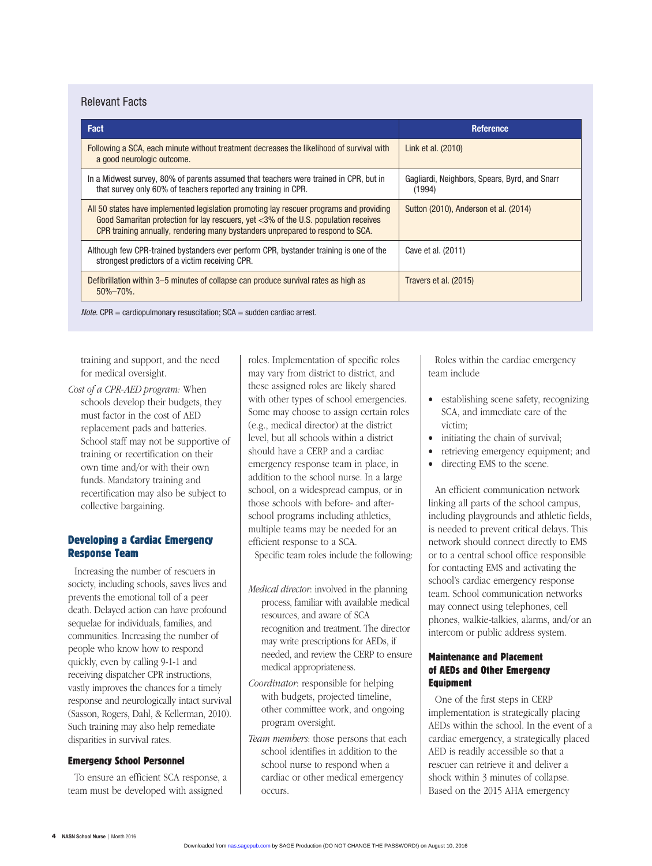# Relevant Facts

| <b>Fact</b>                                                                                                                                                                                                                                                      | <b>Reference</b>                                        |
|------------------------------------------------------------------------------------------------------------------------------------------------------------------------------------------------------------------------------------------------------------------|---------------------------------------------------------|
| Following a SCA, each minute without treatment decreases the likelihood of survival with<br>a good neurologic outcome.                                                                                                                                           | Link et al. (2010)                                      |
| In a Midwest survey, 80% of parents assumed that teachers were trained in CPR, but in<br>that survey only 60% of teachers reported any training in CPR.                                                                                                          | Gagliardi, Neighbors, Spears, Byrd, and Snarr<br>(1994) |
| All 50 states have implemented legislation promoting lay rescuer programs and providing<br>Good Samaritan protection for lay rescuers, yet <3% of the U.S. population receives<br>CPR training annually, rendering many bystanders unprepared to respond to SCA. | Sutton (2010), Anderson et al. (2014)                   |
| Although few CPR-trained bystanders ever perform CPR, bystander training is one of the<br>strongest predictors of a victim receiving CPR.                                                                                                                        | Cave et al. (2011)                                      |
| Defibrillation within 3-5 minutes of collapse can produce survival rates as high as<br>$50\% - 70\%$ .                                                                                                                                                           | Travers et al. (2015)                                   |

*Note.* CPR = cardiopulmonary resuscitation; SCA = sudden cardiac arrest.

training and support, and the need for medical oversight.

*Cost of a CPR-AED program:* When schools develop their budgets, they must factor in the cost of AED replacement pads and batteries. School staff may not be supportive of training or recertification on their own time and/or with their own funds. Mandatory training and recertification may also be subject to collective bargaining.

# Developing a Cardiac Emergency Response Team

Increasing the number of rescuers in society, including schools, saves lives and prevents the emotional toll of a peer death. Delayed action can have profound sequelae for individuals, families, and communities. Increasing the number of people who know how to respond quickly, even by calling 9-1-1 and receiving dispatcher CPR instructions, vastly improves the chances for a timely response and neurologically intact survival (Sasson, Rogers, Dahl, & Kellerman, 2010). Such training may also help remediate disparities in survival rates.

# Emergency School Personnel

To ensure an efficient SCA response, a team must be developed with assigned

roles. Implementation of specific roles may vary from district to district, and these assigned roles are likely shared with other types of school emergencies. Some may choose to assign certain roles (e.g., medical director) at the district level, but all schools within a district should have a CERP and a cardiac emergency response team in place, in addition to the school nurse. In a large school, on a widespread campus, or in those schools with before- and afterschool programs including athletics, multiple teams may be needed for an efficient response to a SCA.

Specific team roles include the following:

- *Medical director*: involved in the planning process, familiar with available medical resources, and aware of SCA recognition and treatment. The director may write prescriptions for AEDs, if needed, and review the CERP to ensure medical appropriateness.
- *Coordinator*: responsible for helping with budgets, projected timeline, other committee work, and ongoing program oversight.
- *Team members*: those persons that each school identifies in addition to the school nurse to respond when a cardiac or other medical emergency occurs.

Roles within the cardiac emergency team include

- •• establishing scene safety, recognizing SCA, and immediate care of the victim;
- initiating the chain of survival;
- retrieving emergency equipment; and
- directing EMS to the scene.

An efficient communication network linking all parts of the school campus, including playgrounds and athletic fields, is needed to prevent critical delays. This network should connect directly to EMS or to a central school office responsible for contacting EMS and activating the school's cardiac emergency response team. School communication networks may connect using telephones, cell phones, walkie-talkies, alarms, and/or an intercom or public address system.

# Maintenance and Placement of AEDs and Other Emergency **Equipment**

One of the first steps in CERP implementation is strategically placing AEDs within the school. In the event of a cardiac emergency, a strategically placed AED is readily accessible so that a rescuer can retrieve it and deliver a shock within 3 minutes of collapse. Based on the 2015 AHA emergency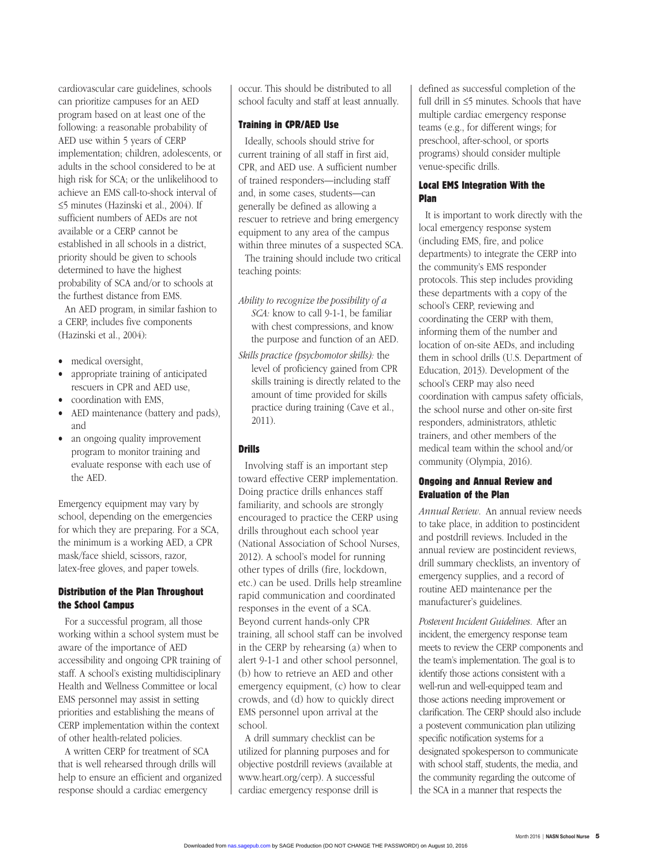cardiovascular care guidelines, schools can prioritize campuses for an AED program based on at least one of the following: a reasonable probability of AED use within 5 years of CERP implementation; children, adolescents, or adults in the school considered to be at high risk for SCA; or the unlikelihood to achieve an EMS call-to-shock interval of ≤5 minutes (Hazinski et al., 2004). If sufficient numbers of AEDs are not available or a CERP cannot be established in all schools in a district, priority should be given to schools determined to have the highest probability of SCA and/or to schools at the furthest distance from EMS.

An AED program, in similar fashion to a CERP, includes five components (Hazinski et al., 2004):

- medical oversight,
- appropriate training of anticipated rescuers in CPR and AED use,
- coordination with EMS.
- AED maintenance (battery and pads), and
- an ongoing quality improvement program to monitor training and evaluate response with each use of the AED.

Emergency equipment may vary by school, depending on the emergencies for which they are preparing. For a SCA, the minimum is a working AED, a CPR mask/face shield, scissors, razor, latex-free gloves, and paper towels.

#### Distribution of the Plan Throughout the School Campus

For a successful program, all those working within a school system must be aware of the importance of AED accessibility and ongoing CPR training of staff. A school's existing multidisciplinary Health and Wellness Committee or local EMS personnel may assist in setting priorities and establishing the means of CERP implementation within the context of other health-related policies.

A written CERP for treatment of SCA that is well rehearsed through drills will help to ensure an efficient and organized response should a cardiac emergency

occur. This should be distributed to all school faculty and staff at least annually.

# Training in CPR/AED Use

Ideally, schools should strive for current training of all staff in first aid, CPR, and AED use. A sufficient number of trained responders—including staff and, in some cases, students—can generally be defined as allowing a rescuer to retrieve and bring emergency equipment to any area of the campus within three minutes of a suspected SCA.

The training should include two critical teaching points:

*Ability to recognize the possibility of a SCA:* know to call 9-1-1, be familiar with chest compressions, and know the purpose and function of an AED.

*Skills practice (psychomotor skills):* the level of proficiency gained from CPR skills training is directly related to the amount of time provided for skills practice during training (Cave et al., 2011).

# Drills

Involving staff is an important step toward effective CERP implementation. Doing practice drills enhances staff familiarity, and schools are strongly encouraged to practice the CERP using drills throughout each school year (National Association of School Nurses, 2012). A school's model for running other types of drills (fire, lockdown, etc.) can be used. Drills help streamline rapid communication and coordinated responses in the event of a SCA. Beyond current hands-only CPR training, all school staff can be involved in the CERP by rehearsing (a) when to alert 9-1-1 and other school personnel, (b) how to retrieve an AED and other emergency equipment, (c) how to clear crowds, and (d) how to quickly direct EMS personnel upon arrival at the school.

A drill summary checklist can be utilized for planning purposes and for objective postdrill reviews (available at <www.heart.org/cerp>). A successful cardiac emergency response drill is

defined as successful completion of the full drill in ≤5 minutes. Schools that have multiple cardiac emergency response teams (e.g., for different wings; for preschool, after-school, or sports programs) should consider multiple venue-specific drills.

# Local EMS Integration With the Plan

It is important to work directly with the local emergency response system (including EMS, fire, and police departments) to integrate the CERP into the community's EMS responder protocols. This step includes providing these departments with a copy of the school's CERP, reviewing and coordinating the CERP with them, informing them of the number and location of on-site AEDs, and including them in school drills (U.S. Department of Education, 2013). Development of the school's CERP may also need coordination with campus safety officials, the school nurse and other on-site first responders, administrators, athletic trainers, and other members of the medical team within the school and/or community (Olympia, 2016).

#### Ongoing and Annual Review and Evaluation of the Plan

*Annual Review.* An annual review needs to take place, in addition to postincident and postdrill reviews. Included in the annual review are postincident reviews, drill summary checklists, an inventory of emergency supplies, and a record of routine AED maintenance per the manufacturer's guidelines.

*Postevent Incident Guidelines.* After an incident, the emergency response team meets to review the CERP components and the team's implementation. The goal is to identify those actions consistent with a well-run and well-equipped team and those actions needing improvement or clarification. The CERP should also include a postevent communication plan utilizing specific notification systems for a designated spokesperson to communicate with school staff, students, the media, and the community regarding the outcome of the SCA in a manner that respects the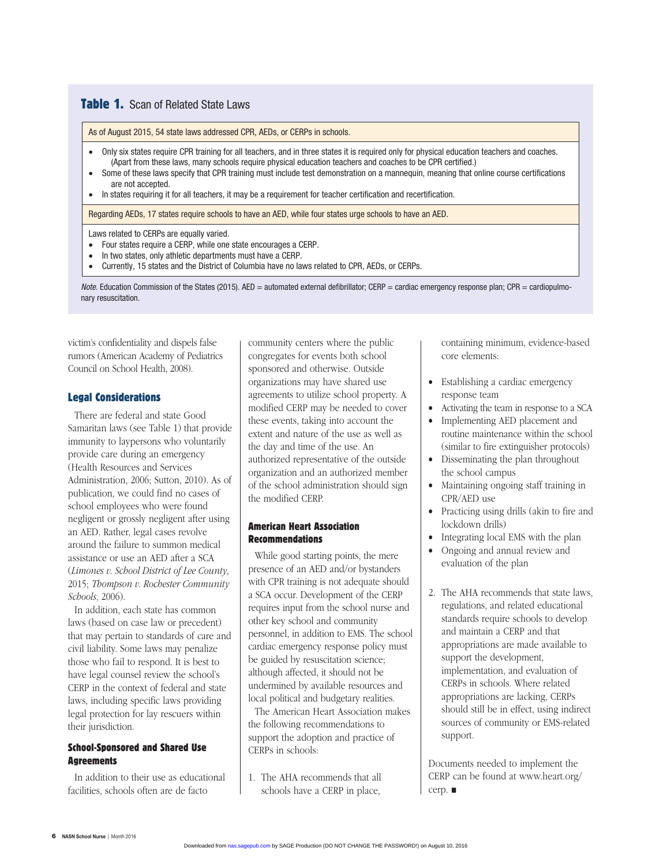# Table 1. Scan of Related State Laws

As of August 2015, 54 state laws addressed CPR, AEDs, or CERPs in schools.

- Only six states require CPR training for all teachers, and in three states it is required only for physical education teachers and coaches. (Apart from these laws, many schools require physical education teachers and coaches to be CPR certified.)
- Some of these laws specify that CPR training must include test demonstration on a mannequin, meaning that online course certifications are not accepted.
- In states requiring it for all teachers, it may be a requirement for teacher certification and recertification.

Regarding AEDs, 17 states require schools to have an AED, while four states urge schools to have an AED.

Laws related to CERPs are equally varied.

- Four states require a CERP, while one state encourages a CERP.
- In two states, only athletic departments must have a CERP.
- Currently, 15 states and the District of Columbia have no laws related to CPR, AEDs, or CERPs.

*Note.* Education Commission of the States (2015). AED = automated external defibrillator; CERP = cardiac emergency response plan; CPR = cardiopulmonary resuscitation.

victim's confidentiality and dispels false rumors (American Academy of Pediatrics Council on School Health, 2008).

#### Legal Considerations

There are federal and state Good Samaritan laws (see Table 1) that provide immunity to laypersons who voluntarily provide care during an emergency (Health Resources and Services Administration, 2006; Sutton, 2010). As of publication, we could find no cases of school employees who were found negligent or grossly negligent after using an AED. Rather, legal cases revolve around the failure to summon medical assistance or use an AED after a SCA (*Limones v. School District of Lee County*, 2015; *Thompson v. Rochester Community Schools*, 2006).

In addition, each state has common laws (based on case law or precedent) that may pertain to standards of care and civil liability. Some laws may penalize those who fail to respond. It is best to have legal counsel review the school's CERP in the context of federal and state laws, including specific laws providing legal protection for lay rescuers within their jurisdiction.

# School-Sponsored and Shared Use **Agreements**

In addition to their use as educational facilities, schools often are de facto

community centers where the public congregates for events both school sponsored and otherwise. Outside organizations may have shared use agreements to utilize school property. A modified CERP may be needed to cover these events, taking into account the extent and nature of the use as well as the day and time of the use. An authorized representative of the outside organization and an authorized member of the school administration should sign the modified CERP.

#### American Heart Association Recommendations

While good starting points, the mere presence of an AED and/or bystanders with CPR training is not adequate should a SCA occur. Development of the CERP requires input from the school nurse and other key school and community personnel, in addition to EMS. The school cardiac emergency response policy must be guided by resuscitation science; although affected, it should not be undermined by available resources and local political and budgetary realities.

The American Heart Association makes the following recommendations to support the adoption and practice of CERPs in schools:

1. The AHA recommends that all schools have a CERP in place, containing minimum, evidence-based core elements:

- •• Establishing a cardiac emergency response team
- Activating the team in response to a SCA
- •• Implementing AED placement and routine maintenance within the school (similar to fire extinguisher protocols)
- Disseminating the plan throughout the school campus
- •• Maintaining ongoing staff training in CPR/AED use
- Practicing using drills (akin to fire and lockdown drills)
- Integrating local EMS with the plan
- •• Ongoing and annual review and evaluation of the plan
- 2. The AHA recommends that state laws, regulations, and related educational standards require schools to develop and maintain a CERP and that appropriations are made available to support the development, implementation, and evaluation of CERPs in schools. Where related appropriations are lacking, CERPs should still be in effect, using indirect sources of community or EMS-related support.

Documents needed to implement the CERP can be found at [www.heart.org/](www.heart.org/cerp) [cerp.](www.heart.org/cerp) ■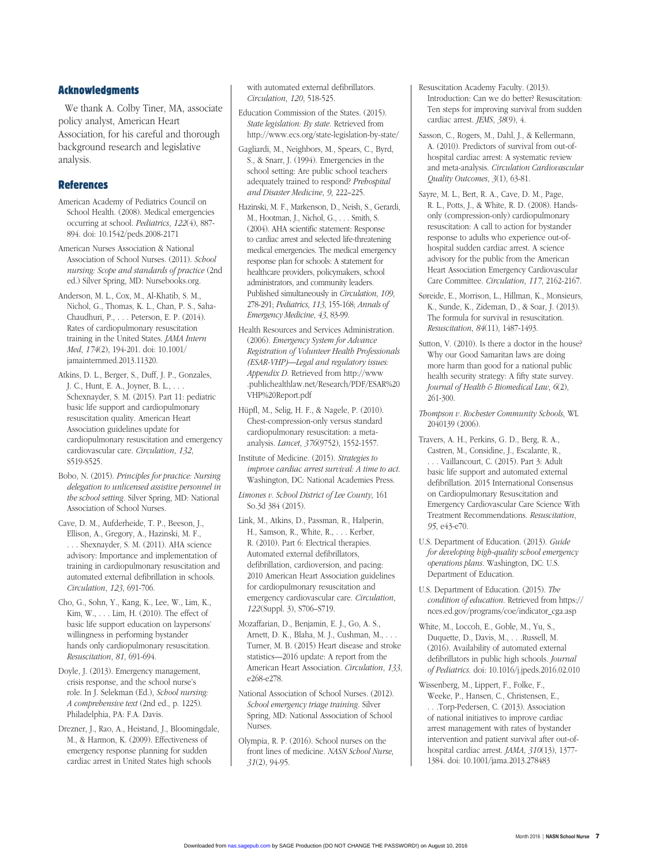#### **Acknowledaments**

We thank A. Colby Tiner, MA, associate policy analyst, American Heart Association, for his careful and thorough background research and legislative analysis.

#### **References**

American Academy of Pediatrics Council on School Health. (2008). Medical emergencies occurring at school. *Pediatrics*, *122*(4), 887- 894. doi: 10.1542/peds.2008-2171

American Nurses Association & National Association of School Nurses. (2011). *School nursing: Scope and standards of practice* (2nd ed.) Silver Spring, MD: Nursebooks.org.

Anderson, M. L., Cox, M., Al-Khatib, S. M., Nichol, G., Thomas, K. L., Chan, P. S., Saha-Chaudhuri, P., . . . Peterson, E. P. (2014). Rates of cardiopulmonary resuscitation training in the United States. *JAMA Intern Med*, *174*(2), 194-201. doi: 10.1001/ jamainternmed.2013.11320.

Atkins, D. L., Berger, S., Duff, J. P., Gonzales, J. C., Hunt, E. A., Joyner, B. L., . . . Schexnayder, S. M. (2015). Part 11: pediatric basic life support and cardiopulmonary resuscitation quality. American Heart Association guidelines update for cardiopulmonary resuscitation and emergency cardiovascular care. *Circulation*, *132*, S519-S525.

Bobo, N. (2015). *Principles for practice: Nursing delegation to unlicensed assistive personnel in the school setting*. Silver Spring, MD: National Association of School Nurses.

Cave, D. M., Aufderheide, T. P., Beeson, J., Ellison, A., Gregory, A., Hazinski, M. F., . . . Shexnayder, S. M. (2011). AHA science advisory: Importance and implementation of training in cardiopulmonary resuscitation and automated external defibrillation in schools. *Circulation*, *123*, 691-706.

Cho, G., Sohn, Y., Kang, K., Lee, W., Lim, K., Kim, W., . . . Lim, H. (2010). The effect of basic life support education on laypersons' willingness in performing bystander hands only cardiopulmonary resuscitation. *Resuscitation*, *81*, 691-694.

Doyle, J. (2013). Emergency management, crisis response, and the school nurse's role. In J. Selekman (Ed.), *School nursing: A comprehensive text* (2nd ed., p. 1225). Philadelphia, PA: F.A. Davis.

Drezner, J., Rao, A., Heistand, J., Bloomingdale, M., & Harmon, K. (2009). Effectiveness of emergency response planning for sudden cardiac arrest in United States high schools

with automated external defibrillators. *Circulation*, *120*, 518-525.

- Education Commission of the States. (2015). *State legislation: By state*. Retrieved from <http://www.ecs.org/state-legislation-by-state/>
- Gagliardi, M., Neighbors, M., Spears, C., Byrd, S., & Snarr, J. (1994). Emergencies in the school setting: Are public school teachers adequately trained to respond? *Prehospital and Disaster Medicine*, *9*, 222–225.
- Hazinski, M. F., Markenson, D., Neish, S., Gerardi, M., Hootman, J., Nichol, G., . . . Smith, S. (2004). AHA scientific statement: Response to cardiac arrest and selected life-threatening medical emergencies. The medical emergency response plan for schools: A statement for healthcare providers, policymakers, school administrators, and community leaders. Published simultaneously in *Circulation*, *109*, 278-291; *Pediatrics*, *113*, 155-168; *Annals of Emergency Medicine*, *43*, 83-99.
- Health Resources and Services Administration. (2006). *Emergency System for Advance Registration of Volunteer Health Professionals (ESAR-VHP)—Legal and regulatory issues: Appendix D*. Retrieved from [http://www](http://www.publichealthlaw.net/Research/PDF/ESAR%20VHP%20Report.pdf)  [.publichealthlaw.net/Research/PDF/ESAR%20](http://www.publichealthlaw.net/Research/PDF/ESAR%20VHP%20Report.pdf) [VHP%20Report.pdf](http://www.publichealthlaw.net/Research/PDF/ESAR%20VHP%20Report.pdf)

Hüpfl, M., Selig, H. F., & Nagele, P. (2010). Chest-compression-only versus standard cardiopulmonary resuscitation: a metaanalysis. *Lancet*, *376*(9752), 1552-1557.

Institute of Medicine. (2015). *Strategies to improve cardiac arrest survival: A time to act*. Washington, DC: National Academies Press.

*Limones v. School District of Lee County*, 161 So.3d 384 (2015).

- Link, M., Atkins, D., Passman, R., Halperin, H., Samson, R., White, R., . . . Kerber, R. (2010). Part 6: Electrical therapies. Automated external defibrillators, defibrillation, cardioversion, and pacing: 2010 American Heart Association guidelines for cardiopulmonary resuscitation and emergency cardiovascular care. *Circulation*, *122*(Suppl. 3), S706–S719.
- Mozaffarian, D., Benjamin, E. J., Go, A. S., Arnett, D. K., Blaha, M. J., Cushman, M., . Turner, M. B. (2015) Heart disease and stroke statistics—2016 update: A report from the American Heart Association. *Circulation*, *133*, e268-e278.

National Association of School Nurses. (2012). *School emergency triage training*. Silver Spring, MD: National Association of School Nurses.

Olympia, R. P. (2016). School nurses on the front lines of medicine. *NASN School Nurse*, *31*(2), 94-95.

- Resuscitation Academy Faculty. (2013). Introduction: Can we do better? Resuscitation: Ten steps for improving survival from sudden cardiac arrest. *JEMS*, *38*(9), 4.
- Sasson, C., Rogers, M., Dahl, J., & Kellermann, A. (2010). Predictors of survival from out-ofhospital cardiac arrest: A systematic review and meta-analysis. *Circulation Cardiovascular Quality Outcomes*, *3*(1), 63-81.
- Sayre, M. L., Bert, R. A., Cave, D. M., Page, R. L., Potts, J., & White, R. D. (2008). Handsonly (compression-only) cardiopulmonary resuscitation: A call to action for bystander response to adults who experience out-ofhospital sudden cardiac arrest. A science advisory for the public from the American Heart Association Emergency Cardiovascular Care Committee. *Circulation*, *117*, 2162-2167.
- Søreide, E., Morrison, L., Hillman, K., Monsieurs, K., Sunde, K., Zideman, D., & Soar, J. (2013). The formula for survival in resuscitation. *Resuscitation*, *84*(11), 1487-1493.
- Sutton, V. (2010). Is there a doctor in the house? Why our Good Samaritan laws are doing more harm than good for a national public health security strategy: A fifty state survey. *Journal of Health & Biomedical Law*, *6*(2), 261-300.
- *Thompson v. Rochester Community Schools*, WL 2040139 (2006).
- Travers, A. H., Perkins, G. D., Berg, R. A., Castren, M., Considine, J., Escalante, R., . . . Vaillancourt, C. (2015). Part 3: Adult basic life support and automated external defibrillation. 2015 International Consensus on Cardiopulmonary Resuscitation and Emergency Cardiovascular Care Science With Treatment Recommendations. *Resuscitation*, *95*, e43-e70.
- U.S. Department of Education. (2013). *Guide for developing high-quality school emergency operations plans*. Washington, DC: U.S. Department of Education.
- U.S. Department of Education. (2015). *The condition of education*. Retrieved from [https://](https://nces.ed.gov/programs/coe/indicator_cga.asp) [nces.ed.gov/programs/coe/indicator\\_cga.asp](https://nces.ed.gov/programs/coe/indicator_cga.asp)
- White, M., Loccoh, E., Goble, M., Yu, S., Duquette, D., Davis, M., . . .Russell, M. (2016). Availability of automated external defibrillators in public high schools. *Journal of Pediatrics*. doi: 10.1016/j.jpeds.2016.02.010
- Wissenberg, M., Lippert, F., Folke, F., Weeke, P., Hansen, C., Christensen, E., . . .Torp-Pedersen, C. (2013). Association of national initiatives to improve cardiac arrest management with rates of bystander intervention and patient survival after out-ofhospital cardiac arrest. *JAMA*, *310*(13), 1377- 1384. doi: 10.1001/jama.2013.278483